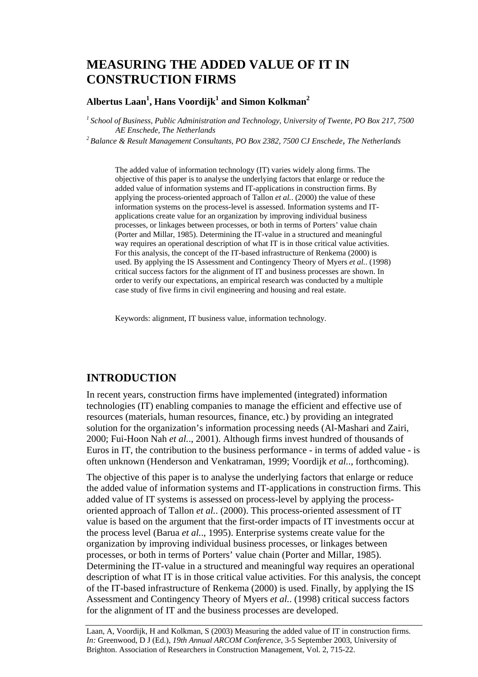# **MEASURING THE ADDED VALUE OF IT IN CONSTRUCTION FIRMS**

### **Albertus Laan1 , Hans Voordijk<sup>1</sup> and Simon Kolkman<sup>2</sup>**

*1 School of Business, Public Administration and Technology, University of Twente, PO Box 217, 7500* 

<sup>2</sup> Balance & Result Management Consultants, PO Box 2382, 7500 CJ Enschede, The Netherlands

The added value of information technology (IT) varies widely along firms. The objective of this paper is to analyse the underlying factors that enlarge or reduce the added value of information systems and IT-applications in construction firms. By applying the process-oriented approach of Tallon *et al.*. (2000) the value of these information systems on the process-level is assessed. Information systems and ITapplications create value for an organization by improving individual business processes, or linkages between processes, or both in terms of Porters' value chain (Porter and Millar, 1985). Determining the IT-value in a structured and meaningful way requires an operational description of what IT is in those critical value activities. For this analysis, the concept of the IT-based infrastructure of Renkema (2000) is used. By applying the IS Assessment and Contingency Theory of Myers *et al.*. (1998) critical success factors for the alignment of IT and business processes are shown. In order to verify our expectations, an empirical research was conducted by a multiple case study of five firms in civil engineering and housing and real estate.

Keywords: alignment, IT business value, information technology.

## **INTRODUCTION**

In recent years, construction firms have implemented (integrated) information technologies (IT) enabling companies to manage the efficient and effective use of resources (materials, human resources, finance, etc.) by providing an integrated solution for the organization's information processing needs (Al-Mashari and Zairi, 2000; Fui-Hoon Nah *et al.*., 2001). Although firms invest hundred of thousands of Euros in IT, the contribution to the business performance - in terms of added value - is often unknown (Henderson and Venkatraman, 1999; Voordijk *et al.*., forthcoming).

The objective of this paper is to analyse the underlying factors that enlarge or reduce the added value of information systems and IT-applications in construction firms. This added value of IT systems is assessed on process-level by applying the processoriented approach of Tallon *et al.*. (2000). This process-oriented assessment of IT value is based on the argument that the first-order impacts of IT investments occur at the process level (Barua *et al.*., 1995). Enterprise systems create value for the organization by improving individual business processes, or linkages between processes, or both in terms of Porters' value chain (Porter and Millar, 1985). Determining the IT-value in a structured and meaningful way requires an operational description of what IT is in those critical value activities. For this analysis, the concept of the IT-based infrastructure of Renkema (2000) is used. Finally, by applying the IS Assessment and Contingency Theory of Myers *et al.*. (1998) critical success factors for the alignment of IT and the business processes are developed.

Laan, A, Voordijk, H and Kolkman, S (2003) Measuring the added value of IT in construction firms. *In:* Greenwood, D J (Ed.), *19th Annual ARCOM Conference*, 3-5 September 2003, University of Brighton. Association of Researchers in Construction Management, Vol. 2, 715-22.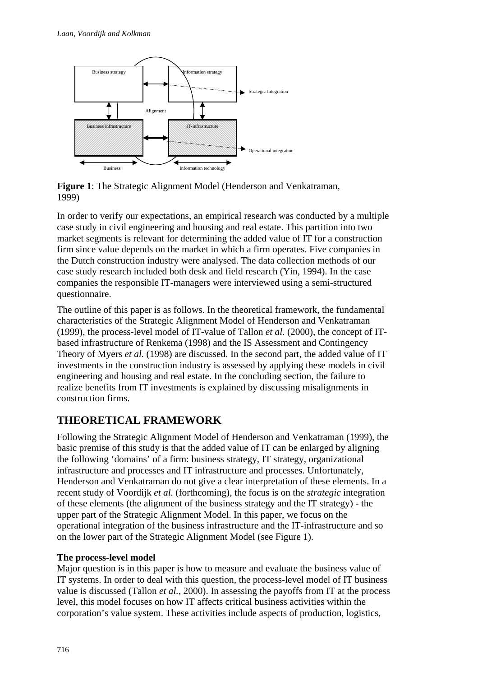

**Figure 1**: The Strategic Alignment Model (Henderson and Venkatraman, 1999)

In order to verify our expectations, an empirical research was conducted by a multiple case study in civil engineering and housing and real estate. This partition into two market segments is relevant for determining the added value of IT for a construction firm since value depends on the market in which a firm operates. Five companies in the Dutch construction industry were analysed. The data collection methods of our case study research included both desk and field research (Yin, 1994). In the case companies the responsible IT-managers were interviewed using a semi-structured questionnaire.

The outline of this paper is as follows. In the theoretical framework, the fundamental characteristics of the Strategic Alignment Model of Henderson and Venkatraman (1999), the process-level model of IT-value of Tallon *et al.* (2000), the concept of ITbased infrastructure of Renkema (1998) and the IS Assessment and Contingency Theory of Myers *et al.* (1998) are discussed. In the second part, the added value of IT investments in the construction industry is assessed by applying these models in civil engineering and housing and real estate. In the concluding section, the failure to realize benefits from IT investments is explained by discussing misalignments in construction firms.

## **THEORETICAL FRAMEWORK**

Following the Strategic Alignment Model of Henderson and Venkatraman (1999), the basic premise of this study is that the added value of IT can be enlarged by aligning the following 'domains' of a firm: business strategy, IT strategy, organizational infrastructure and processes and IT infrastructure and processes. Unfortunately, Henderson and Venkatraman do not give a clear interpretation of these elements. In a recent study of Voordijk *et al.* (forthcoming), the focus is on the *strategic* integration of these elements (the alignment of the business strategy and the IT strategy) - the upper part of the Strategic Alignment Model. In this paper, we focus on the operational integration of the business infrastructure and the IT-infrastructure and so on the lower part of the Strategic Alignment Model (see Figure 1).

## **The process-level model**

Major question is in this paper is how to measure and evaluate the business value of IT systems. In order to deal with this question, the process-level model of IT business value is discussed (Tallon *et al.*, 2000). In assessing the payoffs from IT at the process level, this model focuses on how IT affects critical business activities within the corporation's value system. These activities include aspects of production, logistics,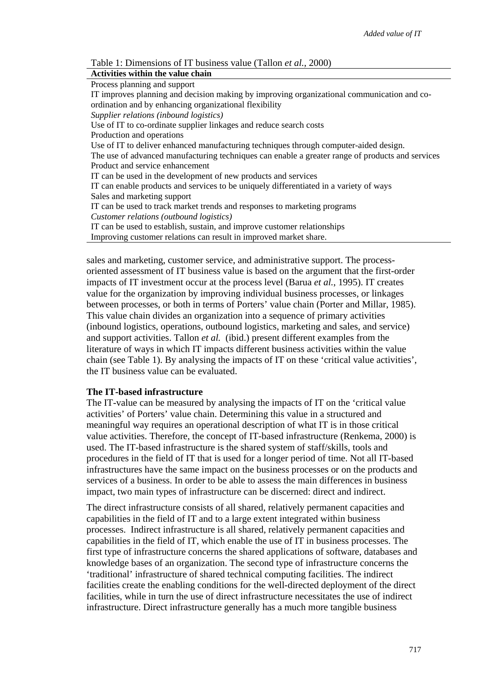| Table 1: Dimensions of IT business value (Tallon et al., 2000) |  |  |  |  |  |  |  |
|----------------------------------------------------------------|--|--|--|--|--|--|--|
|----------------------------------------------------------------|--|--|--|--|--|--|--|

| Activities within the value chain                                                                |
|--------------------------------------------------------------------------------------------------|
| Process planning and support                                                                     |
| IT improves planning and decision making by improving organizational communication and co-       |
| ordination and by enhancing organizational flexibility                                           |
| Supplier relations (inbound logistics)                                                           |
| Use of IT to co-ordinate supplier linkages and reduce search costs                               |
| Production and operations                                                                        |
| Use of IT to deliver enhanced manufacturing techniques through computer-aided design.            |
| The use of advanced manufacturing techniques can enable a greater range of products and services |
| Product and service enhancement                                                                  |
| IT can be used in the development of new products and services                                   |
| IT can enable products and services to be uniquely differentiated in a variety of ways           |
| Sales and marketing support                                                                      |
| IT can be used to track market trends and responses to marketing programs                        |
| Customer relations (outbound logistics)                                                          |
| IT can be used to establish, sustain, and improve customer relationships                         |
| Improving customer relations can result in improved market share.                                |

sales and marketing, customer service, and administrative support. The processoriented assessment of IT business value is based on the argument that the first-order impacts of IT investment occur at the process level (Barua *et al.*, 1995). IT creates value for the organization by improving individual business processes, or linkages between processes, or both in terms of Porters' value chain (Porter and Millar, 1985). This value chain divides an organization into a sequence of primary activities (inbound logistics, operations, outbound logistics, marketing and sales, and service) and support activities. Tallon *et al.* (ibid.) present different examples from the literature of ways in which IT impacts different business activities within the value chain (see Table 1). By analysing the impacts of IT on these 'critical value activities', the IT business value can be evaluated.

#### **The IT-based infrastructure**

The IT-value can be measured by analysing the impacts of IT on the 'critical value activities' of Porters' value chain. Determining this value in a structured and meaningful way requires an operational description of what IT is in those critical value activities. Therefore, the concept of IT-based infrastructure (Renkema, 2000) is used. The IT-based infrastructure is the shared system of staff/skills, tools and procedures in the field of IT that is used for a longer period of time. Not all IT-based infrastructures have the same impact on the business processes or on the products and services of a business. In order to be able to assess the main differences in business impact, two main types of infrastructure can be discerned: direct and indirect.

The direct infrastructure consists of all shared, relatively permanent capacities and capabilities in the field of IT and to a large extent integrated within business processes. Indirect infrastructure is all shared, relatively permanent capacities and capabilities in the field of IT, which enable the use of IT in business processes. The first type of infrastructure concerns the shared applications of software, databases and knowledge bases of an organization. The second type of infrastructure concerns the 'traditional' infrastructure of shared technical computing facilities. The indirect facilities create the enabling conditions for the well-directed deployment of the direct facilities, while in turn the use of direct infrastructure necessitates the use of indirect infrastructure. Direct infrastructure generally has a much more tangible business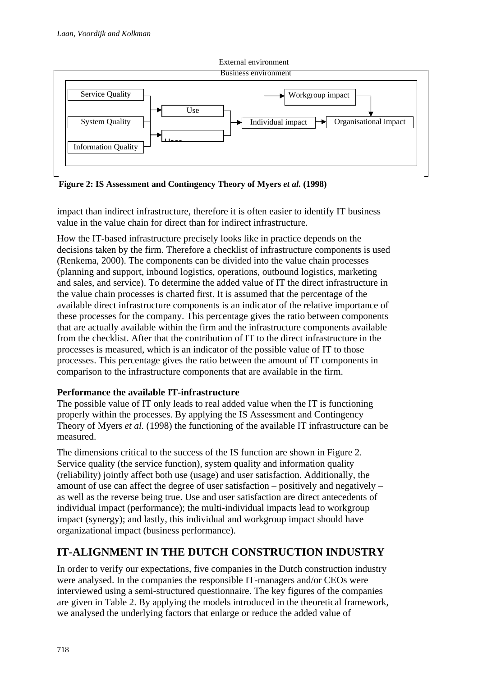

**Figure 2: IS Assessment and Contingency Theory of Myers** *et al.* **(1998)** 

impact than indirect infrastructure, therefore it is often easier to identify IT business value in the value chain for direct than for indirect infrastructure.

How the IT-based infrastructure precisely looks like in practice depends on the decisions taken by the firm. Therefore a checklist of infrastructure components is used (Renkema, 2000). The components can be divided into the value chain processes (planning and support, inbound logistics, operations, outbound logistics, marketing and sales, and service). To determine the added value of IT the direct infrastructure in the value chain processes is charted first. It is assumed that the percentage of the available direct infrastructure components is an indicator of the relative importance of these processes for the company. This percentage gives the ratio between components that are actually available within the firm and the infrastructure components available from the checklist. After that the contribution of IT to the direct infrastructure in the processes is measured, which is an indicator of the possible value of IT to those processes. This percentage gives the ratio between the amount of IT components in comparison to the infrastructure components that are available in the firm.

### **Performance the available IT-infrastructure**

The possible value of IT only leads to real added value when the IT is functioning properly within the processes. By applying the IS Assessment and Contingency Theory of Myers *et al.* (1998) the functioning of the available IT infrastructure can be measured.

The dimensions critical to the success of the IS function are shown in Figure 2. Service quality (the service function), system quality and information quality (reliability) jointly affect both use (usage) and user satisfaction. Additionally, the amount of use can affect the degree of user satisfaction – positively and negatively – as well as the reverse being true. Use and user satisfaction are direct antecedents of individual impact (performance); the multi-individual impacts lead to workgroup impact (synergy); and lastly, this individual and workgroup impact should have organizational impact (business performance).

## **IT-ALIGNMENT IN THE DUTCH CONSTRUCTION INDUSTRY**

In order to verify our expectations, five companies in the Dutch construction industry were analysed. In the companies the responsible IT-managers and/or CEOs were interviewed using a semi-structured questionnaire. The key figures of the companies are given in Table 2. By applying the models introduced in the theoretical framework, we analysed the underlying factors that enlarge or reduce the added value of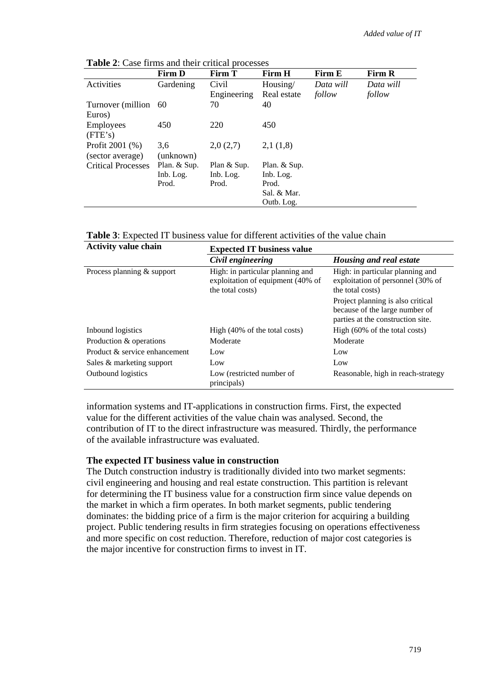|                           | <b>Firm D</b> | Firm T      | Firm H       | Firm E    | Firm R    |
|---------------------------|---------------|-------------|--------------|-----------|-----------|
| Activities                | Gardening     | Civil       | Housing/     | Data will | Data will |
|                           |               | Engineering | Real estate  | follow    | follow    |
| Turnover (million)        | -60           | 70          | 40           |           |           |
| Euros)                    |               |             |              |           |           |
| Employees                 | 450           | 220         | 450          |           |           |
| (FTE's)                   |               |             |              |           |           |
| Profit 2001 (%)           | 3,6           | 2,0(2,7)    | 2,1(1,8)     |           |           |
| (sector average)          | (unknown)     |             |              |           |           |
| <b>Critical Processes</b> | Plan. & Sup.  | Plan & Sup. | Plan. & Sup. |           |           |
|                           | Inb. Log.     | Inb. Log.   | Inb. Log.    |           |           |
|                           | Prod.         | Prod.       | Prod.        |           |           |
|                           |               |             | Sal. & Mar.  |           |           |
|                           |               |             | Outb. Log.   |           |           |

**Table 2**: Case firms and their critical processes

**Table 3**: Expected IT business value for different activities of the value chain

| <b>Activity value chain</b>                                                                                             | <b>Expected IT business value</b>        |                                                                                                          |  |  |  |  |
|-------------------------------------------------------------------------------------------------------------------------|------------------------------------------|----------------------------------------------------------------------------------------------------------|--|--|--|--|
|                                                                                                                         | Civil engineering                        | Housing and real estate                                                                                  |  |  |  |  |
| High: in particular planning and<br>Process planning & support<br>exploitation of equipment (40% of<br>the total costs) |                                          | High: in particular planning and<br>exploitation of personnel (30% of<br>the total costs)                |  |  |  |  |
|                                                                                                                         |                                          | Project planning is also critical<br>because of the large number of<br>parties at the construction site. |  |  |  |  |
| Inbound logistics                                                                                                       | High (40% of the total costs)            | High $(60\% \text{ of the total costs})$                                                                 |  |  |  |  |
| Production & operations                                                                                                 | Moderate                                 | Moderate                                                                                                 |  |  |  |  |
| Product & service enhancement                                                                                           | Low                                      | Low                                                                                                      |  |  |  |  |
| Sales & marketing support                                                                                               | Low                                      | Low                                                                                                      |  |  |  |  |
| Outbound logistics                                                                                                      | Low (restricted number of<br>principals) | Reasonable, high in reach-strategy                                                                       |  |  |  |  |

information systems and IT-applications in construction firms. First, the expected value for the different activities of the value chain was analysed. Second, the contribution of IT to the direct infrastructure was measured. Thirdly, the performance of the available infrastructure was evaluated.

#### **The expected IT business value in construction**

The Dutch construction industry is traditionally divided into two market segments: civil engineering and housing and real estate construction. This partition is relevant for determining the IT business value for a construction firm since value depends on the market in which a firm operates. In both market segments, public tendering dominates: the bidding price of a firm is the major criterion for acquiring a building project. Public tendering results in firm strategies focusing on operations effectiveness and more specific on cost reduction. Therefore, reduction of major cost categories is the major incentive for construction firms to invest in IT.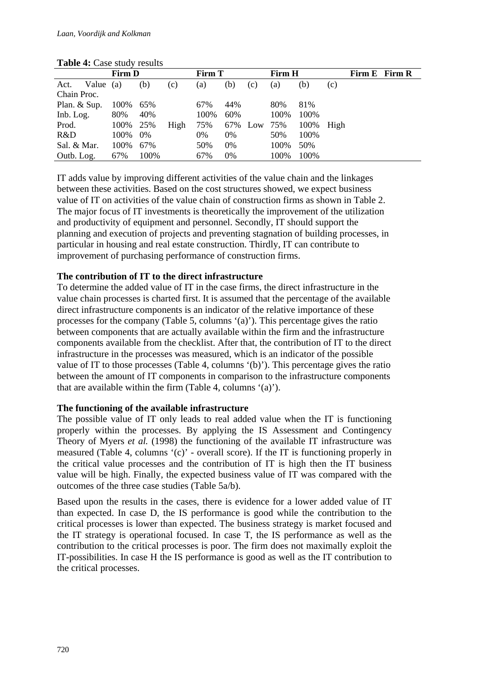| $1.0010$ $1.0000$ $0.000$ $1.000$ |               |      |      |               |     |     |               |       |      |               |  |
|-----------------------------------|---------------|------|------|---------------|-----|-----|---------------|-------|------|---------------|--|
|                                   | <b>Firm D</b> |      |      | <b>Firm T</b> |     |     | <b>Firm H</b> |       |      | Firm E Firm R |  |
| Value $(a)$<br>Act.               |               | (b)  | (c)  | (a)           | (b) | (c) | (a)           | (b)   | (c)  |               |  |
| Chain Proc.                       |               |      |      |               |     |     |               |       |      |               |  |
| Plan. & Sup.                      | 100%          | 65%  |      | 67%           | 44% |     | 80%           | 81%   |      |               |  |
| Inb. Log.                         | 80%           | 40%  |      | 100%          | 60% |     | 100%          | 100\% |      |               |  |
| Prod.                             | 100%          | 25%  | High | 75%           | 67% | Low | 75%           | 100%  | High |               |  |
| R&D                               | 100%          | 0%   |      | 0%            | 0%  |     | 50%           | 100%  |      |               |  |
| Sal. & Mar.                       | 100%          | 67%  |      | 50%           | 0%  |     | 100%          | 50%   |      |               |  |
| Outb. Log.                        | 67%           | 100% |      | 67%           | 0%  |     | 100%          | 100%  |      |               |  |

#### **Table 4:** Case study results

IT adds value by improving different activities of the value chain and the linkages between these activities. Based on the cost structures showed, we expect business value of IT on activities of the value chain of construction firms as shown in Table 2. The major focus of IT investments is theoretically the improvement of the utilization and productivity of equipment and personnel. Secondly, IT should support the planning and execution of projects and preventing stagnation of building processes, in particular in housing and real estate construction. Thirdly, IT can contribute to improvement of purchasing performance of construction firms.

### **The contribution of IT to the direct infrastructure**

To determine the added value of IT in the case firms, the direct infrastructure in the value chain processes is charted first. It is assumed that the percentage of the available direct infrastructure components is an indicator of the relative importance of these processes for the company (Table 5, columns '(a)'). This percentage gives the ratio between components that are actually available within the firm and the infrastructure components available from the checklist. After that, the contribution of IT to the direct infrastructure in the processes was measured, which is an indicator of the possible value of IT to those processes (Table 4, columns '(b)'). This percentage gives the ratio between the amount of IT components in comparison to the infrastructure components that are available within the firm (Table 4, columns '(a)').

### **The functioning of the available infrastructure**

The possible value of IT only leads to real added value when the IT is functioning properly within the processes. By applying the IS Assessment and Contingency Theory of Myers *et al.* (1998) the functioning of the available IT infrastructure was measured (Table 4, columns '(c)' - overall score). If the IT is functioning properly in the critical value processes and the contribution of IT is high then the IT business value will be high. Finally, the expected business value of IT was compared with the outcomes of the three case studies (Table 5a/b).

Based upon the results in the cases, there is evidence for a lower added value of IT than expected. In case D, the IS performance is good while the contribution to the critical processes is lower than expected. The business strategy is market focused and the IT strategy is operational focused. In case T, the IS performance as well as the contribution to the critical processes is poor. The firm does not maximally exploit the IT-possibilities. In case H the IS performance is good as well as the IT contribution to the critical processes.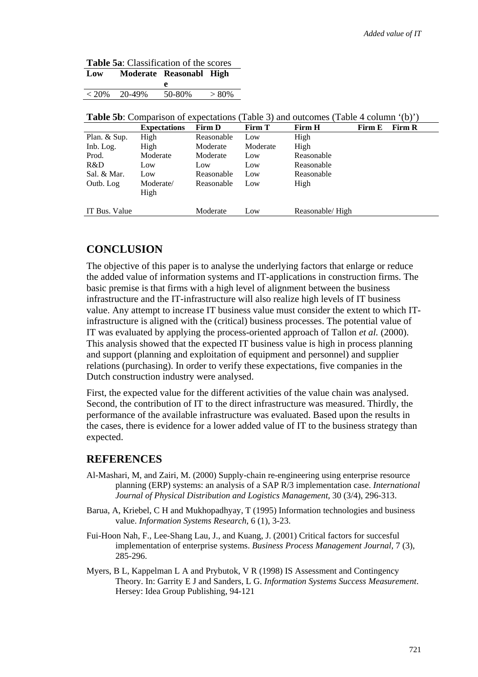| <b>Table 5a:</b> Classification of the scores |        |                             |          |  |  |  |
|-----------------------------------------------|--------|-----------------------------|----------|--|--|--|
|                                               |        | Low Moderate Reasonabl High |          |  |  |  |
|                                               |        | e                           |          |  |  |  |
| $< 20\%$                                      | 20-49% | 50-80%                      | $> 80\%$ |  |  |  |

| <b>Table 5b</b> : Comparison of expectations (Table 3) and outcomes (Table 4 column '(b)') |  |
|--------------------------------------------------------------------------------------------|--|
|--------------------------------------------------------------------------------------------|--|

|               | <b>Expectations</b> | Firm D     | <b>Firm T</b> | Firm H           | Firm E | <b>Firm R</b> |
|---------------|---------------------|------------|---------------|------------------|--------|---------------|
| Plan. & Sup.  | High                | Reasonable | Low           | High             |        |               |
| Inb. Log.     | High                | Moderate   | Moderate      | High             |        |               |
| Prod.         | Moderate            | Moderate   | Low           | Reasonable       |        |               |
| R&D           | Low                 | Low        | Low           | Reasonable       |        |               |
| Sal. & Mar.   | Low                 | Reasonable | Low           | Reasonable       |        |               |
| Outb. Log     | Moderate/           | Reasonable | Low           | High             |        |               |
|               | High                |            |               |                  |        |               |
|               |                     |            |               |                  |        |               |
| IT Bus. Value |                     | Moderate   | Low           | Reasonable/ High |        |               |

## **CONCLUSION**

The objective of this paper is to analyse the underlying factors that enlarge or reduce the added value of information systems and IT-applications in construction firms. The basic premise is that firms with a high level of alignment between the business infrastructure and the IT-infrastructure will also realize high levels of IT business value. Any attempt to increase IT business value must consider the extent to which ITinfrastructure is aligned with the (critical) business processes. The potential value of IT was evaluated by applying the process-oriented approach of Tallon *et al.* (2000). This analysis showed that the expected IT business value is high in process planning and support (planning and exploitation of equipment and personnel) and supplier relations (purchasing). In order to verify these expectations, five companies in the Dutch construction industry were analysed.

First, the expected value for the different activities of the value chain was analysed. Second, the contribution of IT to the direct infrastructure was measured. Thirdly, the performance of the available infrastructure was evaluated. Based upon the results in the cases, there is evidence for a lower added value of IT to the business strategy than expected.

## **REFERENCES**

- Al-Mashari, M, and Zairi, M. (2000) Supply-chain re-engineering using enterprise resource planning (ERP) systems: an analysis of a SAP R/3 implementation case. *International Journal of Physical Distribution and Logistics Management*, 30 (3/4), 296-313.
- Barua, A, Kriebel, C H and Mukhopadhyay, T (1995) Information technologies and business value. *Information Systems Research*, 6 (1), 3-23.
- Fui-Hoon Nah, F., Lee-Shang Lau, J., and Kuang, J. (2001) Critical factors for succesful implementation of enterprise systems. *Business Process Management Journal*, 7 (3), 285-296.
- Myers, B L, Kappelman L A and Prybutok, V R (1998) IS Assessment and Contingency Theory. In: Garrity E J and Sanders, L G. *Information Systems Success Measurement*. Hersey: Idea Group Publishing, 94-121